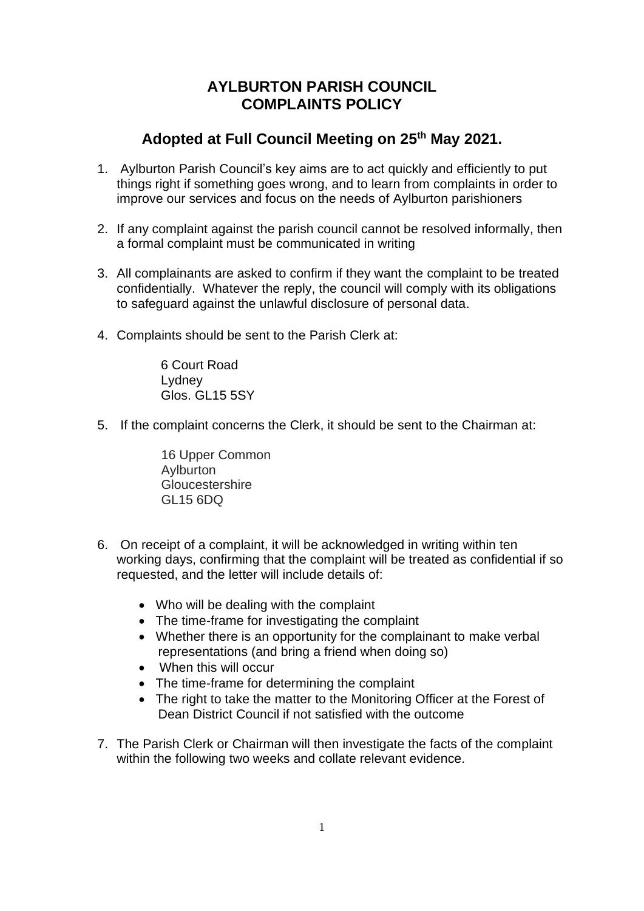## **AYLBURTON PARISH COUNCIL COMPLAINTS POLICY**

## **Adopted at Full Council Meeting on 25th May 2021.**

- 1. Aylburton Parish Council's key aims are to act quickly and efficiently to put things right if something goes wrong, and to learn from complaints in order to improve our services and focus on the needs of Aylburton parishioners
- 2. If any complaint against the parish council cannot be resolved informally, then a formal complaint must be communicated in writing
- 3. All complainants are asked to confirm if they want the complaint to be treated confidentially. Whatever the reply, the council will comply with its obligations to safeguard against the unlawful disclosure of personal data.
- 4. Complaints should be sent to the Parish Clerk at:

6 Court Road **Lydney** Glos. GL15 5SY

5. If the complaint concerns the Clerk, it should be sent to the Chairman at:

16 Upper Common Aylburton **Gloucestershire** GL15 6DQ

- 6. On receipt of a complaint, it will be acknowledged in writing within ten working days, confirming that the complaint will be treated as confidential if so requested, and the letter will include details of:
	- Who will be dealing with the complaint
	- The time-frame for investigating the complaint
	- Whether there is an opportunity for the complainant to make verbal representations (and bring a friend when doing so)
	- When this will occur
	- The time-frame for determining the complaint
	- The right to take the matter to the Monitoring Officer at the Forest of Dean District Council if not satisfied with the outcome
- 7. The Parish Clerk or Chairman will then investigate the facts of the complaint within the following two weeks and collate relevant evidence.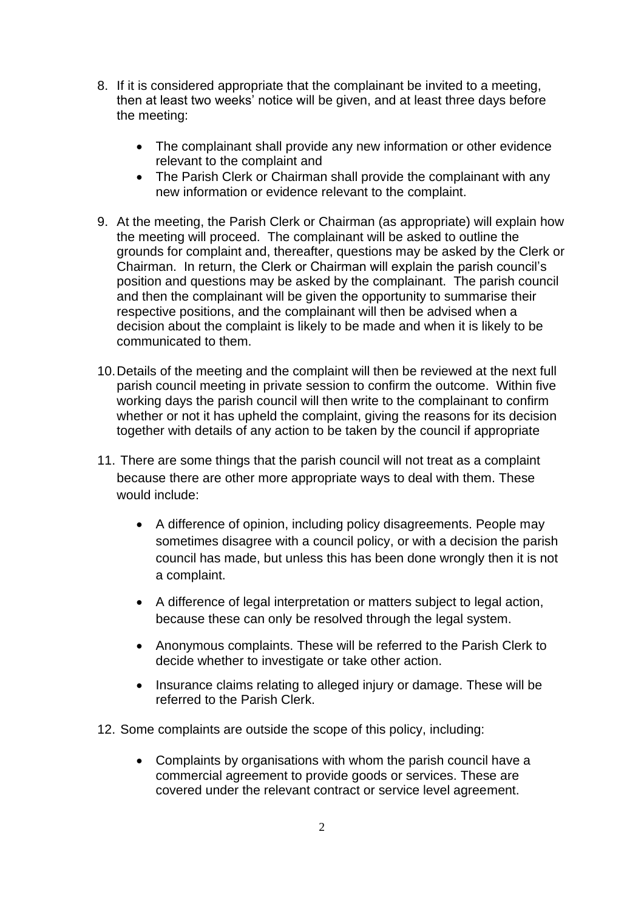- 8. If it is considered appropriate that the complainant be invited to a meeting, then at least two weeks' notice will be given, and at least three days before the meeting:
	- The complainant shall provide any new information or other evidence relevant to the complaint and
	- The Parish Clerk or Chairman shall provide the complainant with any new information or evidence relevant to the complaint.
- 9. At the meeting, the Parish Clerk or Chairman (as appropriate) will explain how the meeting will proceed. The complainant will be asked to outline the grounds for complaint and, thereafter, questions may be asked by the Clerk or Chairman. In return, the Clerk or Chairman will explain the parish council's position and questions may be asked by the complainant. The parish council and then the complainant will be given the opportunity to summarise their respective positions, and the complainant will then be advised when a decision about the complaint is likely to be made and when it is likely to be communicated to them.
- 10.Details of the meeting and the complaint will then be reviewed at the next full parish council meeting in private session to confirm the outcome. Within five working days the parish council will then write to the complainant to confirm whether or not it has upheld the complaint, giving the reasons for its decision together with details of any action to be taken by the council if appropriate
- 11. There are some things that the parish council will not treat as a complaint because there are other more appropriate ways to deal with them. These would include:
	- A difference of opinion, including policy disagreements. People may sometimes disagree with a council policy, or with a decision the parish council has made, but unless this has been done wrongly then it is not a complaint.
	- A difference of legal interpretation or matters subject to legal action, because these can only be resolved through the legal system.
	- Anonymous complaints. These will be referred to the Parish Clerk to decide whether to investigate or take other action.
	- Insurance claims relating to alleged injury or damage. These will be referred to the Parish Clerk.
- 12. Some complaints are outside the scope of this policy, including:
	- Complaints by organisations with whom the parish council have a commercial agreement to provide goods or services. These are covered under the relevant contract or service level agreement.